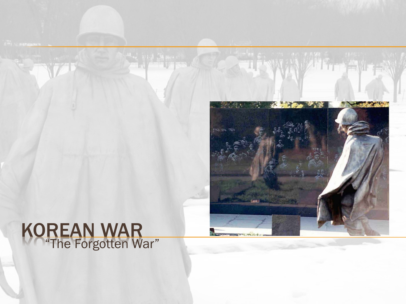#### KOREAN WAR "The Forgotten War"

TI PAWER ANGLES

 $\mathcal{F}(\mathbf{A})$ 

**SY WALLY A**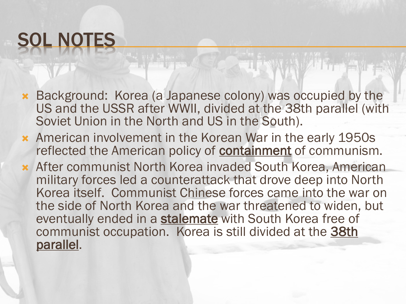# SOL NOTES

- Background: Korea (a Japanese colony) was occupied by the US and the USSR after WWII, divided at the 38th parallel (with Soviet Union in the North and US in the South).
- American involvement in the Korean War in the early 1950s reflected the American policy of **containment** of communism.
- After communist North Korea invaded South Korea, American military forces led a counterattack that drove deep into North Korea itself. Communist Chinese forces came into the war on the side of North Korea and the war threatened to widen, but eventually ended in a stalemate with South Korea free of communist occupation. Korea is still divided at the 38th parallel.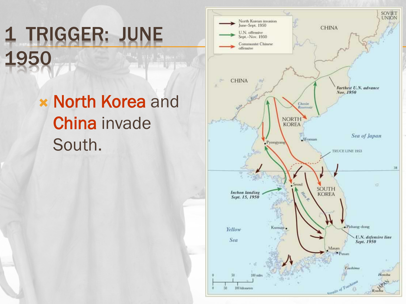## 1 TRIGGER: JUNE 1950

**x North Korea and** China invade South.

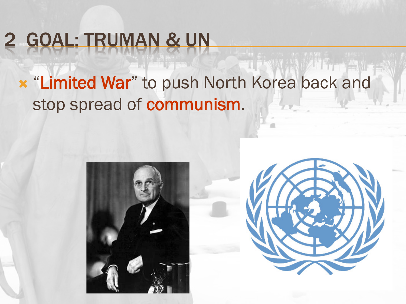## 2 GOAL: TRUMAN & UN

#### **\* "Limited War**" to push North Korea back and stop spread of communism.



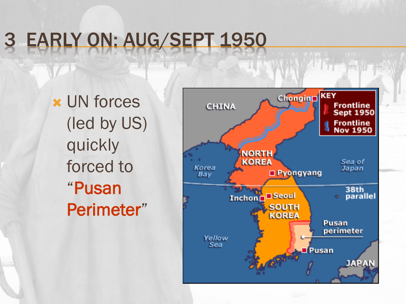## EARLY ON: AUG/SEPT 1950

 UN forces (led by US) quickly forced to "Pusan Perimeter"

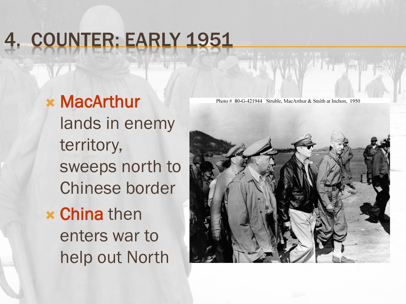## 4. COUNTER: EARLY 1951

#### MacArthur lands in enemy territory, sweeps north to Chinese border **x China** then enters war to

help out North

Photo # 80-G-421944 Struble, MacArthur & Smith at Inchon, 1950

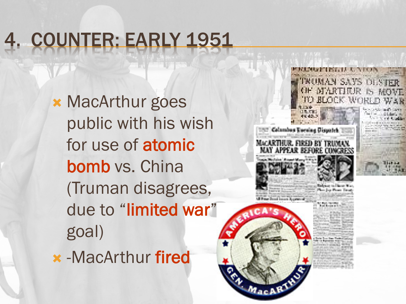## 4. COUNTER: EARLY 1951

**\* MacArthur goes** public with his wish for use of atomic bomb vs. China (Truman disagrees, due to "limited war" goal)

-MacArthur fired